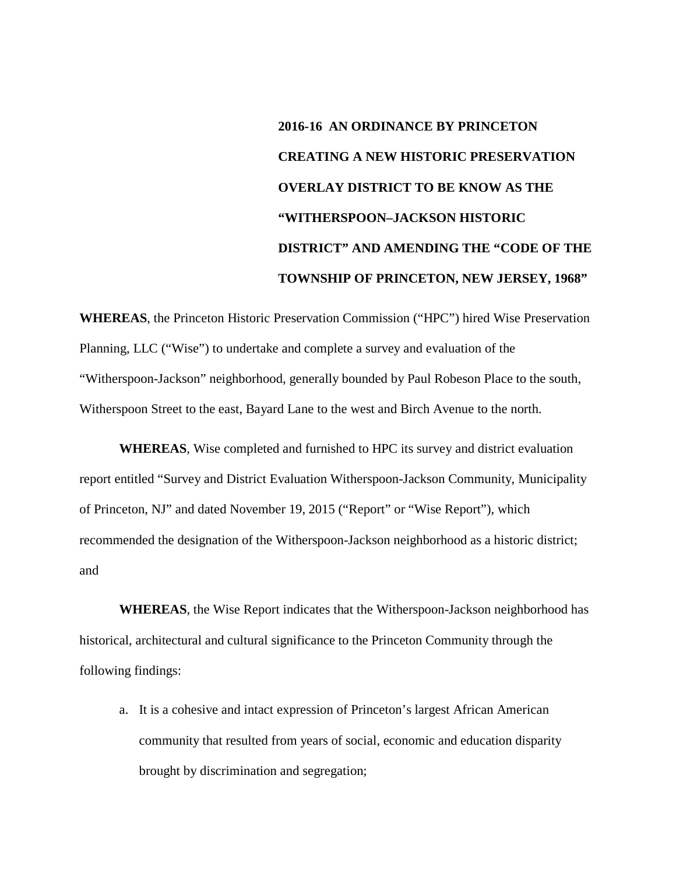## **2016-16 AN ORDINANCE BY PRINCETON CREATING A NEW HISTORIC PRESERVATION OVERLAY DISTRICT TO BE KNOW AS THE "WITHERSPOON–JACKSON HISTORIC DISTRICT" AND AMENDING THE "CODE OF THE TOWNSHIP OF PRINCETON, NEW JERSEY, 1968"**

**WHEREAS**, the Princeton Historic Preservation Commission ("HPC") hired Wise Preservation Planning, LLC ("Wise") to undertake and complete a survey and evaluation of the "Witherspoon-Jackson" neighborhood, generally bounded by Paul Robeson Place to the south, Witherspoon Street to the east, Bayard Lane to the west and Birch Avenue to the north.

**WHEREAS**, Wise completed and furnished to HPC its survey and district evaluation report entitled "Survey and District Evaluation Witherspoon-Jackson Community, Municipality of Princeton, NJ" and dated November 19, 2015 ("Report" or "Wise Report"), which recommended the designation of the Witherspoon-Jackson neighborhood as a historic district; and

**WHEREAS**, the Wise Report indicates that the Witherspoon-Jackson neighborhood has historical, architectural and cultural significance to the Princeton Community through the following findings:

a. It is a cohesive and intact expression of Princeton's largest African American community that resulted from years of social, economic and education disparity brought by discrimination and segregation;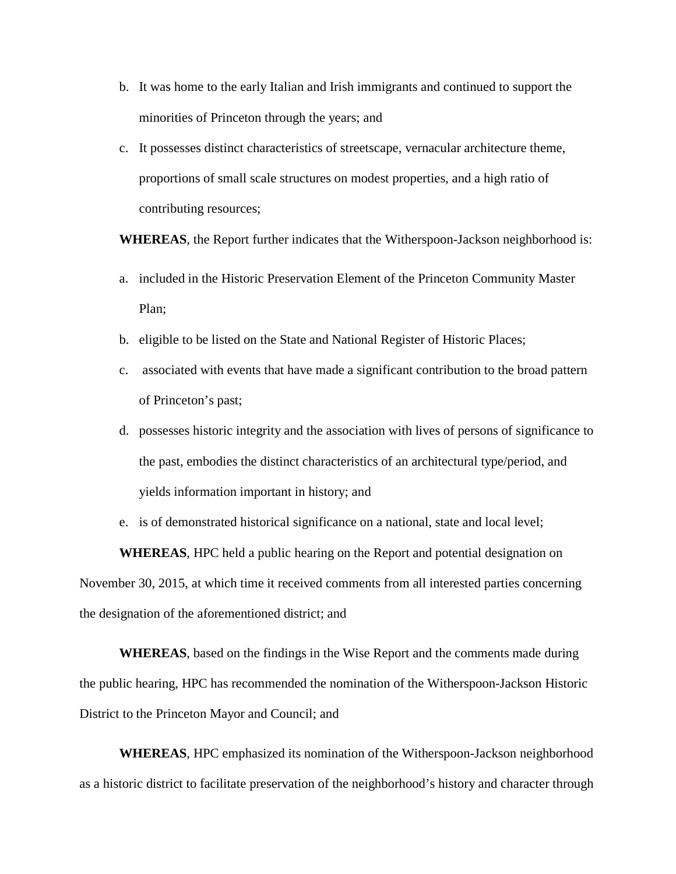- b. It was home to the early Italian and Irish immigrants and continued to support the minorities of Princeton through the years; and
- c. It possesses distinct characteristics of streetscape, vernacular architecture theme, proportions of small scale structures on modest properties, and a high ratio of contributing resources;

**WHEREAS**, the Report further indicates that the Witherspoon-Jackson neighborhood is:

- a. included in the Historic Preservation Element of the Princeton Community Master Plan;
- b. eligible to be listed on the State and National Register of Historic Places;
- c. associated with events that have made a significant contribution to the broad pattern of Princeton's past;
- d. possesses historic integrity and the association with lives of persons of significance to the past, embodies the distinct characteristics of an architectural type/period, and yields information important in history; and
- e. is of demonstrated historical significance on a national, state and local level;

**WHEREAS**, HPC held a public hearing on the Report and potential designation on November 30, 2015, at which time it received comments from all interested parties concerning the designation of the aforementioned district; and

**WHEREAS**, based on the findings in the Wise Report and the comments made during the public hearing, HPC has recommended the nomination of the Witherspoon-Jackson Historic District to the Princeton Mayor and Council; and

**WHEREAS**, HPC emphasized its nomination of the Witherspoon-Jackson neighborhood as a historic district to facilitate preservation of the neighborhood's history and character through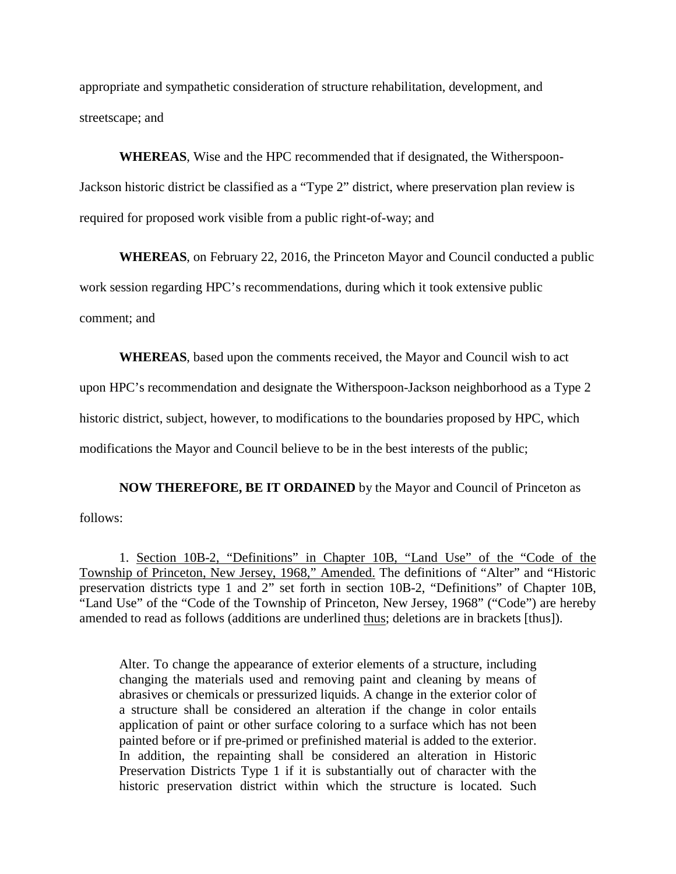appropriate and sympathetic consideration of structure rehabilitation, development, and streetscape; and

**WHEREAS**, Wise and the HPC recommended that if designated, the Witherspoon-Jackson historic district be classified as a "Type 2" district, where preservation plan review is required for proposed work visible from a public right-of-way; and

**WHEREAS**, on February 22, 2016, the Princeton Mayor and Council conducted a public work session regarding HPC's recommendations, during which it took extensive public comment; and

**WHEREAS**, based upon the comments received, the Mayor and Council wish to act

upon HPC's recommendation and designate the Witherspoon-Jackson neighborhood as a Type 2

historic district, subject, however, to modifications to the boundaries proposed by HPC, which

modifications the Mayor and Council believe to be in the best interests of the public;

**NOW THEREFORE, BE IT ORDAINED** by the Mayor and Council of Princeton as follows:

1. Section 10B-2, "Definitions" in Chapter 10B, "Land Use" of the "Code of the Township of Princeton, New Jersey, 1968," Amended. The definitions of "Alter" and "Historic preservation districts type 1 and 2" set forth in section 10B-2, "Definitions" of Chapter 10B, "Land Use" of the "Code of the Township of Princeton, New Jersey, 1968" ("Code") are hereby amended to read as follows (additions are underlined thus; deletions are in brackets [thus]).

Alter. To change the appearance of exterior elements of a structure, including changing the materials used and removing paint and cleaning by means of abrasives or chemicals or pressurized liquids. A change in the exterior color of a structure shall be considered an alteration if the change in color entails application of paint or other surface coloring to a surface which has not been painted before or if pre-primed or prefinished material is added to the exterior. In addition, the repainting shall be considered an alteration in Historic Preservation Districts Type 1 if it is substantially out of character with the historic preservation district within which the structure is located. Such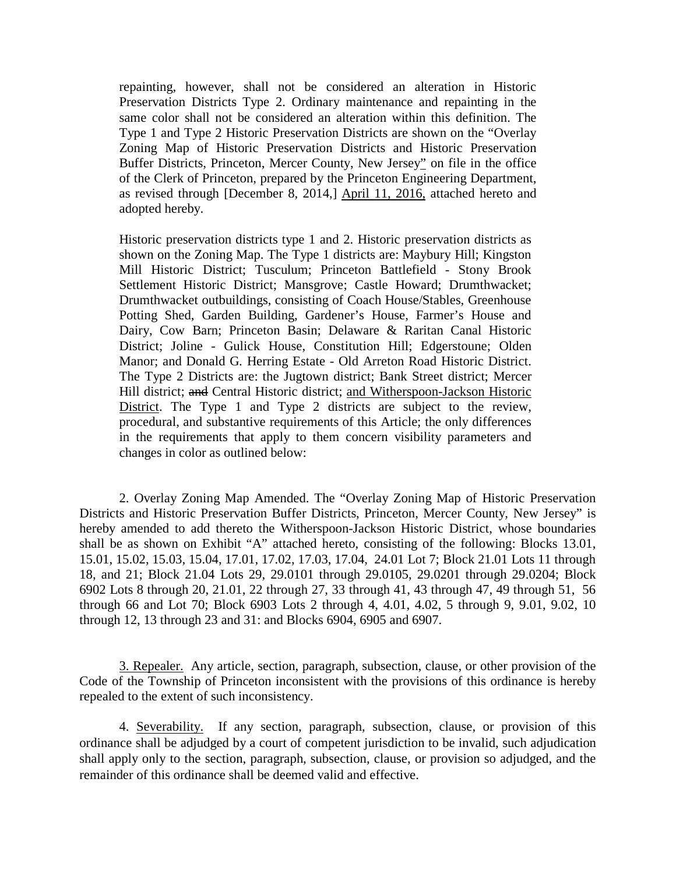repainting, however, shall not be considered an alteration in Historic Preservation Districts Type 2. Ordinary maintenance and repainting in the same color shall not be considered an alteration within this definition. The Type 1 and Type 2 Historic Preservation Districts are shown on the "Overlay Zoning Map of Historic Preservation Districts and Historic Preservation Buffer Districts, Princeton, Mercer County, New Jersey" on file in the office of the Clerk of Princeton, prepared by the Princeton Engineering Department, as revised through [December 8, 2014,] April 11, 2016, attached hereto and adopted hereby.

Historic preservation districts type 1 and 2. Historic preservation districts as shown on the Zoning Map. The Type 1 districts are: Maybury Hill; Kingston Mill Historic District; Tusculum; Princeton Battlefield - Stony Brook Settlement Historic District; Mansgrove; Castle Howard; Drumthwacket; Drumthwacket outbuildings, consisting of Coach House/Stables, Greenhouse Potting Shed, Garden Building, Gardener's House, Farmer's House and Dairy, Cow Barn; Princeton Basin; Delaware & Raritan Canal Historic District; Joline - Gulick House, Constitution Hill; Edgerstoune; Olden Manor; and Donald G. Herring Estate - Old Arreton Road Historic District. The Type 2 Districts are: the Jugtown district; Bank Street district; Mercer Hill district; and Central Historic district; and Witherspoon-Jackson Historic District. The Type 1 and Type 2 districts are subject to the review, procedural, and substantive requirements of this Article; the only differences in the requirements that apply to them concern visibility parameters and changes in color as outlined below:

2. Overlay Zoning Map Amended. The "Overlay Zoning Map of Historic Preservation Districts and Historic Preservation Buffer Districts, Princeton, Mercer County, New Jersey" is hereby amended to add thereto the Witherspoon-Jackson Historic District, whose boundaries shall be as shown on Exhibit "A" attached hereto, consisting of the following: Blocks 13.01, 15.01, 15.02, 15.03, 15.04, 17.01, 17.02, 17.03, 17.04, 24.01 Lot 7; Block 21.01 Lots 11 through 18, and 21; Block 21.04 Lots 29, 29.0101 through 29.0105, 29.0201 through 29.0204; Block 6902 Lots 8 through 20, 21.01, 22 through 27, 33 through 41, 43 through 47, 49 through 51, 56 through 66 and Lot 70; Block 6903 Lots 2 through 4, 4.01, 4.02, 5 through 9, 9.01, 9.02, 10 through 12, 13 through 23 and 31: and Blocks 6904, 6905 and 6907.

3. Repealer. Any article, section, paragraph, subsection, clause, or other provision of the Code of the Township of Princeton inconsistent with the provisions of this ordinance is hereby repealed to the extent of such inconsistency.

4. Severability. If any section, paragraph, subsection, clause, or provision of this ordinance shall be adjudged by a court of competent jurisdiction to be invalid, such adjudication shall apply only to the section, paragraph, subsection, clause, or provision so adjudged, and the remainder of this ordinance shall be deemed valid and effective.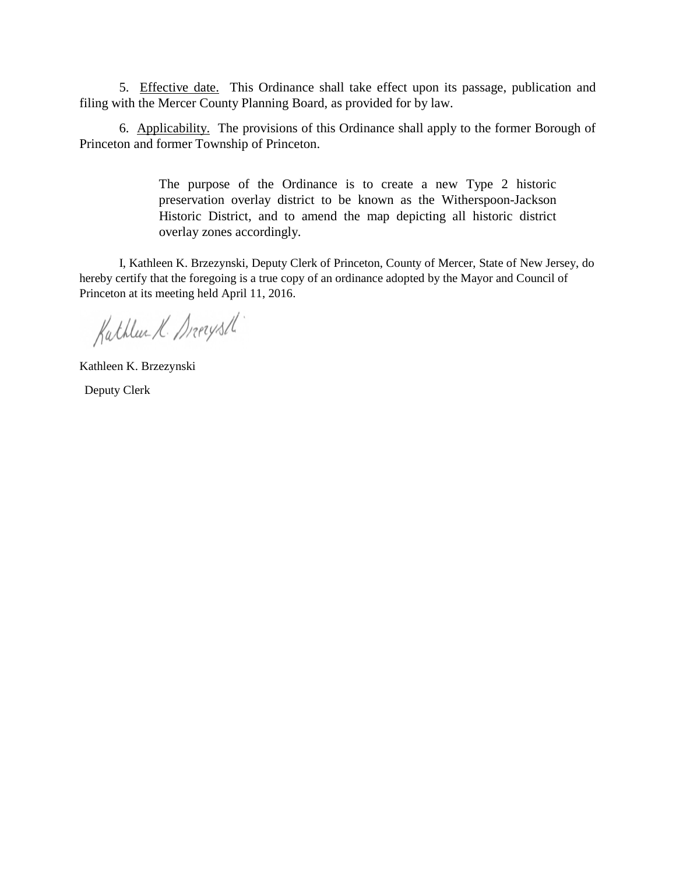5. Effective date. This Ordinance shall take effect upon its passage, publication and filing with the Mercer County Planning Board, as provided for by law.

6. Applicability. The provisions of this Ordinance shall apply to the former Borough of Princeton and former Township of Princeton.

> The purpose of the Ordinance is to create a new Type 2 historic preservation overlay district to be known as the Witherspoon-Jackson Historic District, and to amend the map depicting all historic district overlay zones accordingly.

I, Kathleen K. Brzezynski, Deputy Clerk of Princeton, County of Mercer, State of New Jersey, do hereby certify that the foregoing is a true copy of an ordinance adopted by the Mayor and Council of Princeton at its meeting held April 11, 2016.

Kathlee K. Drerysth

Kathleen K. Brzezynski Deputy Clerk